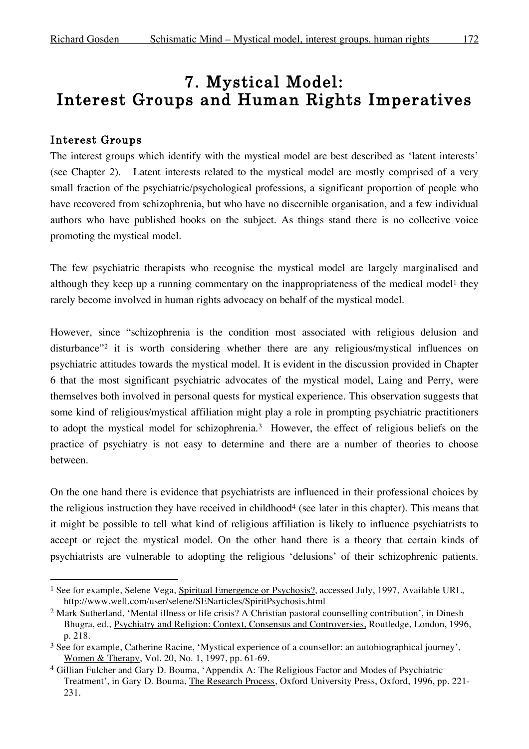# 7. Mystical Model: Interest Groups and Human Rights Imperatives

#### Interest Groups

The interest groups which identify with the mystical model are best described as 'latent interests' (see Chapter 2). Latent interests related to the mystical model are mostly comprised of a very small fraction of the psychiatric/psychological professions, a significant proportion of people who have recovered from schizophrenia, but who have no discernible organisation, and a few individual authors who have published books on the subject. As things stand there is no collective voice promoting the mystical model.

The few psychiatric therapists who recognise the mystical model are largely marginalised and although they keep up a running commentary on the inappropriateness of the medical model<sup>1</sup> they rarely become involved in human rights advocacy on behalf of the mystical model.

However, since "schizophrenia is the condition most associated with religious delusion and disturbance"<sup>2</sup> it is worth considering whether there are any religious/mystical influences on psychiatric attitudes towards the mystical model. It is evident in the discussion provided in Chapter 6 that the most significant psychiatric advocates of the mystical model, Laing and Perry, were themselves both involved in personal quests for mystical experience. This observation suggests that some kind of religious/mystical affiliation might play a role in prompting psychiatric practitioners to adopt the mystical model for schizophrenia.3 However, the effect of religious beliefs on the practice of psychiatry is not easy to determine and there are a number of theories to choose between.

On the one hand there is evidence that psychiatrists are influenced in their professional choices by the religious instruction they have received in childhood<sup>4</sup> (see later in this chapter). This means that it might be possible to tell what kind of religious affiliation is likely to influence psychiatrists to accept or reject the mystical model. On the other hand there is a theory that certain kinds of psychiatrists are vulnerable to adopting the religious 'delusions' of their schizophrenic patients.

<sup>&</sup>lt;sup>1</sup> See for example, Selene Vega, Spiritual Emergence or Psychosis?, accessed July, 1997, Available URL, http://www.well.com/user/selene/SENarticles/SpiritPsychosis.html

<sup>2</sup> Mark Sutherland, 'Mental illness or life crisis? A Christian pastoral counselling contribution', in Dinesh Bhugra, ed., Psychiatry and Religion: Context, Consensus and Controversies, Routledge, London, 1996, p. 218.

<sup>&</sup>lt;sup>3</sup> See for example, Catherine Racine, 'Mystical experience of a counsellor: an autobiographical journey', Women & Therapy, Vol. 20, No. 1, 1997, pp. 61-69.

<sup>4</sup> Gillian Fulcher and Gary D. Bouma, 'Appendix A: The Religious Factor and Modes of Psychiatric Treatment', in Gary D. Bouma, The Research Process, Oxford University Press, Oxford, 1996, pp. 221- 231.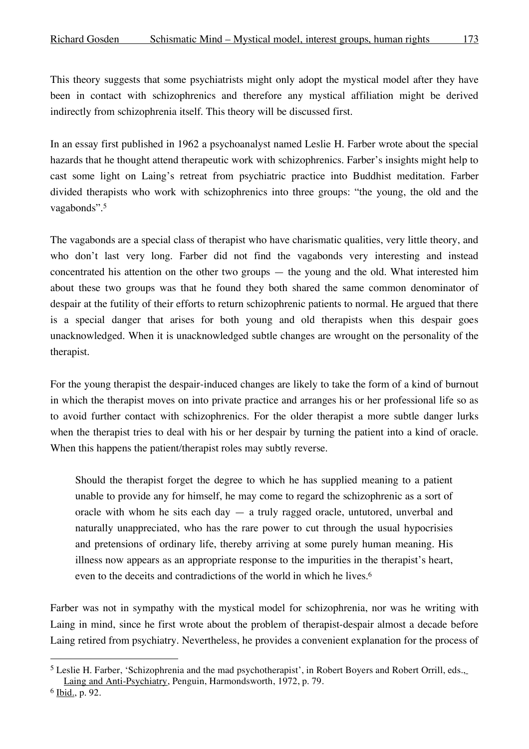This theory suggests that some psychiatrists might only adopt the mystical model after they have been in contact with schizophrenics and therefore any mystical affiliation might be derived indirectly from schizophrenia itself. This theory will be discussed first.

In an essay first published in 1962 a psychoanalyst named Leslie H. Farber wrote about the special hazards that he thought attend therapeutic work with schizophrenics. Farber's insights might help to cast some light on Laing's retreat from psychiatric practice into Buddhist meditation. Farber divided therapists who work with schizophrenics into three groups: "the young, the old and the vagabonds". 5

The vagabonds are a special class of therapist who have charismatic qualities, very little theory, and who don't last very long. Farber did not find the vagabonds very interesting and instead concentrated his attention on the other two groups — the young and the old. What interested him about these two groups was that he found they both shared the same common denominator of despair at the futility of their efforts to return schizophrenic patients to normal. He argued that there is a special danger that arises for both young and old therapists when this despair goes unacknowledged. When it is unacknowledged subtle changes are wrought on the personality of the therapist.

For the young therapist the despair-induced changes are likely to take the form of a kind of burnout in which the therapist moves on into private practice and arranges his or her professional life so as to avoid further contact with schizophrenics. For the older therapist a more subtle danger lurks when the therapist tries to deal with his or her despair by turning the patient into a kind of oracle. When this happens the patient/therapist roles may subtly reverse.

Should the therapist forget the degree to which he has supplied meaning to a patient unable to provide any for himself, he may come to regard the schizophrenic as a sort of oracle with whom he sits each day  $-$  a truly ragged oracle, untutored, unverbal and naturally unappreciated, who has the rare power to cut through the usual hypocrisies and pretensions of ordinary life, thereby arriving at some purely human meaning. His illness now appears as an appropriate response to the impurities in the therapist's heart, even to the deceits and contradictions of the world in which he lives. 6

Farber was not in sympathy with the mystical model for schizophrenia, nor was he writing with Laing in mind, since he first wrote about the problem of therapist-despair almost a decade before Laing retired from psychiatry. Nevertheless, he provides a convenient explanation for the process of

<sup>&</sup>lt;sup>5</sup> Leslie H. Farber, 'Schizophrenia and the mad psychotherapist', in Robert Boyers and Robert Orrill, eds., Laing and Anti-Psychiatry, Penguin, Harmondsworth, 1972, p. 79.

 $6$  Ibid., p. 92.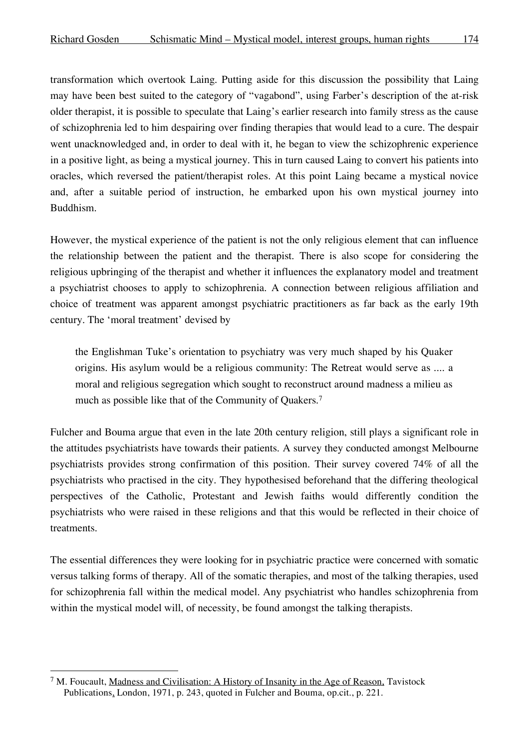transformation which overtook Laing. Putting aside for this discussion the possibility that Laing may have been best suited to the category of "vagabond", using Farber's description of the at-risk older therapist, it is possible to speculate that Laing's earlier research into family stress as the cause of schizophrenia led to him despairing over finding therapies that would lead to a cure. The despair went unacknowledged and, in order to deal with it, he began to view the schizophrenic experience in a positive light, as being a mystical journey. This in turn caused Laing to convert his patients into oracles, which reversed the patient/therapist roles. At this point Laing became a mystical novice and, after a suitable period of instruction, he embarked upon his own mystical journey into Buddhism.

However, the mystical experience of the patient is not the only religious element that can influence the relationship between the patient and the therapist. There is also scope for considering the religious upbringing of the therapist and whether it influences the explanatory model and treatment a psychiatrist chooses to apply to schizophrenia. A connection between religious affiliation and choice of treatment was apparent amongst psychiatric practitioners as far back as the early 19th century. The 'moral treatment' devised by

the Englishman Tuke's orientation to psychiatry was very much shaped by his Quaker origins. His asylum would be a religious community: The Retreat would serve as .... a moral and religious segregation which sought to reconstruct around madness a milieu as much as possible like that of the Community of Quakers. 7

Fulcher and Bouma argue that even in the late 20th century religion, still plays a significant role in the attitudes psychiatrists have towards their patients. A survey they conducted amongst Melbourne psychiatrists provides strong confirmation of this position. Their survey covered 74% of all the psychiatrists who practised in the city. They hypothesised beforehand that the differing theological perspectives of the Catholic, Protestant and Jewish faiths would differently condition the psychiatrists who were raised in these religions and that this would be reflected in their choice of treatments.

The essential differences they were looking for in psychiatric practice were concerned with somatic versus talking forms of therapy. All of the somatic therapies, and most of the talking therapies, used for schizophrenia fall within the medical model. Any psychiatrist who handles schizophrenia from within the mystical model will, of necessity, be found amongst the talking therapists.

 <sup>7</sup> M. Foucault, Madness and Civilisation: <sup>A</sup> History of Insanity in the Age of Reason, Tavistock Publications, London, 1971, p. 243, quoted in Fulcher and Bouma, op.cit., p. 221.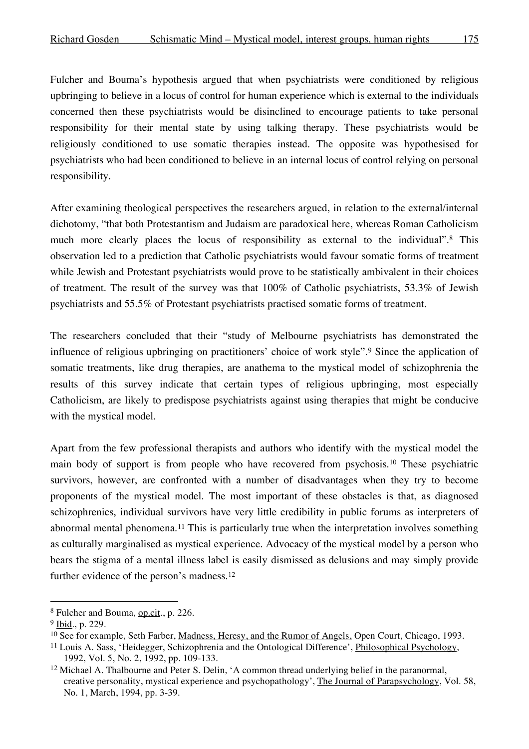Fulcher and Bouma's hypothesis argued that when psychiatrists were conditioned by religious upbringing to believe in a locus of control for human experience which is external to the individuals concerned then these psychiatrists would be disinclined to encourage patients to take personal responsibility for their mental state by using talking therapy. These psychiatrists would be religiously conditioned to use somatic therapies instead. The opposite was hypothesised for psychiatrists who had been conditioned to believe in an internal locus of control relying on personal responsibility.

After examining theological perspectives the researchers argued, in relation to the external/internal dichotomy, "that both Protestantism and Judaism are paradoxical here, whereas Roman Catholicism much more clearly places the locus of responsibility as external to the individual".8 This observation led to a prediction that Catholic psychiatrists would favour somatic forms of treatment while Jewish and Protestant psychiatrists would prove to be statistically ambivalent in their choices of treatment. The result of the survey was that 100% of Catholic psychiatrists, 53.3% of Jewish psychiatrists and 55.5% of Protestant psychiatrists practised somatic forms of treatment.

The researchers concluded that their "study of Melbourne psychiatrists has demonstrated the influence of religious upbringing on practitioners' choice of work style".9 Since the application of somatic treatments, like drug therapies, are anathema to the mystical model of schizophrenia the results of this survey indicate that certain types of religious upbringing, most especially Catholicism, are likely to predispose psychiatrists against using therapies that might be conducive with the mystical model.

Apart from the few professional therapists and authors who identify with the mystical model the main body of support is from people who have recovered from psychosis.10 These psychiatric survivors, however, are confronted with a number of disadvantages when they try to become proponents of the mystical model. The most important of these obstacles is that, as diagnosed schizophrenics, individual survivors have very little credibility in public forums as interpreters of abnormal mental phenomena.11 This is particularly true when the interpretation involves something as culturally marginalised as mystical experience. Advocacy of the mystical model by a person who bears the stigma of a mental illness label is easily dismissed as delusions and may simply provide further evidence of the person's madness.12

 <sup>8</sup> Fulcher and Bouma, op.cit., p. 226.

<sup>9</sup> Ibid., p. 229.

<sup>&</sup>lt;sup>10</sup> See for example, Seth Farber, Madness, Heresy, and the Rumor of Angels, Open Court, Chicago, 1993.

<sup>&</sup>lt;sup>11</sup> Louis A. Sass, 'Heidegger, Schizophrenia and the Ontological Difference', Philosophical Psychology, 1992, Vol. 5, No. 2, 1992, pp. 109-133.

<sup>&</sup>lt;sup>12</sup> Michael A. Thalbourne and Peter S. Delin, 'A common thread underlying belief in the paranormal, creative personality, mystical experience and psychopathology', The Journal of Parapsychology, Vol. 58, No. 1, March, 1994, pp. 3-39.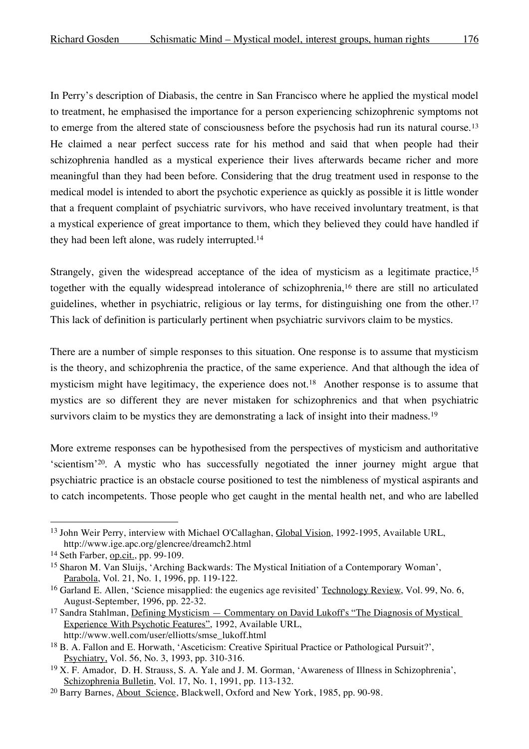In Perry's description of Diabasis, the centre in San Francisco where he applied the mystical model to treatment, he emphasised the importance for a person experiencing schizophrenic symptoms not to emerge from the altered state of consciousness before the psychosis had run its natural course.13 He claimed a near perfect success rate for his method and said that when people had their schizophrenia handled as a mystical experience their lives afterwards became richer and more meaningful than they had been before. Considering that the drug treatment used in response to the medical model is intended to abort the psychotic experience as quickly as possible it is little wonder that a frequent complaint of psychiatric survivors, who have received involuntary treatment, is that a mystical experience of great importance to them, which they believed they could have handled if they had been left alone, was rudely interrupted.<sup>14</sup>

Strangely, given the widespread acceptance of the idea of mysticism as a legitimate practice,<sup>15</sup> together with the equally widespread intolerance of schizophrenia,16 there are still no articulated guidelines, whether in psychiatric, religious or lay terms, for distinguishing one from the other. 17 This lack of definition is particularly pertinent when psychiatric survivors claim to be mystics.

There are a number of simple responses to this situation. One response is to assume that mysticism is the theory, and schizophrenia the practice, of the same experience. And that although the idea of mysticism might have legitimacy, the experience does not. <sup>18</sup> Another response is to assume that mystics are so different they are never mistaken for schizophrenics and that when psychiatric survivors claim to be mystics they are demonstrating a lack of insight into their madness.<sup>19</sup>

More extreme responses can be hypothesised from the perspectives of mysticism and authoritative 'scientism'20. A mystic who has successfully negotiated the inner journey might argue that psychiatric practice is an obstacle course positioned to test the nimbleness of mystical aspirants and to catch incompetents. Those people who get caught in the mental health net, and who are labelled

 <sup>13</sup> John Weir Perry, interview with Michael O'Callaghan, Global Vision, 1992-1995, Available URL, http://www.ige.apc.org/glencree/dreamch2.html

<sup>14</sup> Seth Farber, op.cit., pp. 99-109.

<sup>&</sup>lt;sup>15</sup> Sharon M. Van Sluijs, 'Arching Backwards: The Mystical Initiation of a Contemporary Woman', Parabola, Vol. 21, No. 1, 1996, pp. 119-122.

<sup>&</sup>lt;sup>16</sup> Garland E. Allen, 'Science misapplied: the eugenics age revisited' Technology Review, Vol. 99, No. 6, August-September, 1996, pp. 22-32.

<sup>&</sup>lt;sup>17</sup> Sandra Stahlman, Defining Mysticism — Commentary on David Lukoff's "The Diagnosis of Mystical Experience With Psychotic Features", 1992, Available URL, http://www.well.com/user/elliotts/smse\_lukoff.html

<sup>18</sup> B. A. Fallon and E. Horwath, 'Asceticism: Creative Spiritual Practice or Pathological Pursuit?', Psychiatry, Vol. 56, No. 3, 1993, pp. 310-316.

<sup>19</sup> X. F. Amador, D. H. Strauss, S. A. Yale and J. M. Gorman, 'Awareness of Illness in Schizophrenia', Schizophrenia Bulletin, Vol. 17, No. 1, 1991, pp. 113-132.

<sup>&</sup>lt;sup>20</sup> Barry Barnes, **About Science**, Blackwell, Oxford and New York, 1985, pp. 90-98.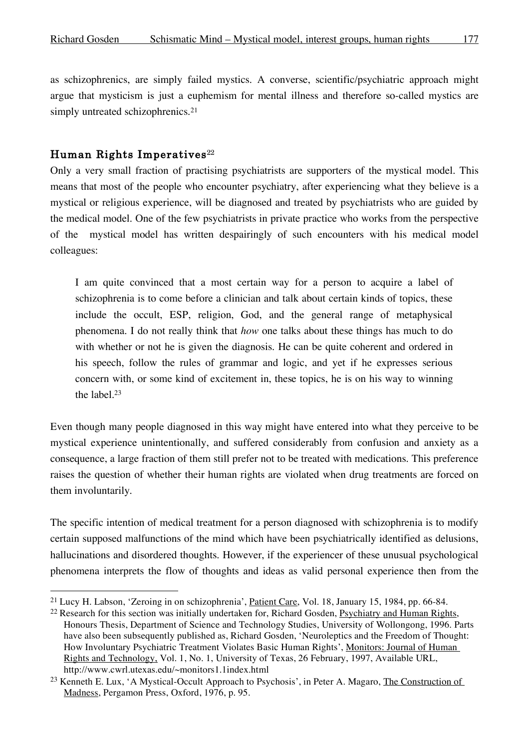as schizophrenics, are simply failed mystics. A converse, scientific/psychiatric approach might argue that mysticism is just a euphemism for mental illness and therefore so-called mystics are simply untreated schizophrenics.<sup>21</sup>

## Human Rights Imperatives<sup>22</sup>

Only a very small fraction of practising psychiatrists are supporters of the mystical model. This means that most of the people who encounter psychiatry, after experiencing what they believe is a mystical or religious experience, will be diagnosed and treated by psychiatrists who are guided by the medical model. One of the few psychiatrists in private practice who works from the perspective of the mystical model has written despairingly of such encounters with his medical model colleagues:

I am quite convinced that a most certain way for a person to acquire a label of schizophrenia is to come before a clinician and talk about certain kinds of topics, these include the occult, ESP, religion, God, and the general range of metaphysical phenomena. I do not really think that *how* one talks about these things has much to do with whether or not he is given the diagnosis. He can be quite coherent and ordered in his speech, follow the rules of grammar and logic, and yet if he expresses serious concern with, or some kind of excitement in, these topics, he is on his way to winning the label. 23

Even though many people diagnosed in this way might have entered into what they perceive to be mystical experience unintentionally, and suffered considerably from confusion and anxiety as a consequence, a large fraction of them still prefer not to be treated with medications. This preference raises the question of whether their human rights are violated when drug treatments are forced on them involuntarily.

The specific intention of medical treatment for a person diagnosed with schizophrenia is to modify certain supposed malfunctions of the mind which have been psychiatrically identified as delusions, hallucinations and disordered thoughts. However, if the experiencer of these unusual psychological phenomena interprets the flow of thoughts and ideas as valid personal experience then from the

 <sup>21</sup> Lucy H. Labson, 'Zeroing in on schizophrenia', Patient Care, Vol. 18, January 15, 1984, pp. 66-84.

<sup>&</sup>lt;sup>22</sup> Research for this section was initially undertaken for, Richard Gosden, Psychiatry and Human Rights, Honours Thesis, Department of Science and Technology Studies, University of Wollongong, 1996. Parts have also been subsequently published as, Richard Gosden, 'Neuroleptics and the Freedom of Thought: How Involuntary Psychiatric Treatment Violates Basic Human Rights', Monitors: Journal of Human Rights and Technology, Vol. 1, No. 1, University of Texas, 26 February, 1997, Available URL, http://www.cwrl.utexas.edu/~monitors1.1index.html

<sup>&</sup>lt;sup>23</sup> Kenneth E. Lux, 'A Mystical-Occult Approach to Psychosis', in Peter A. Magaro, The Construction of Madness, Pergamon Press, Oxford, 1976, p. 95.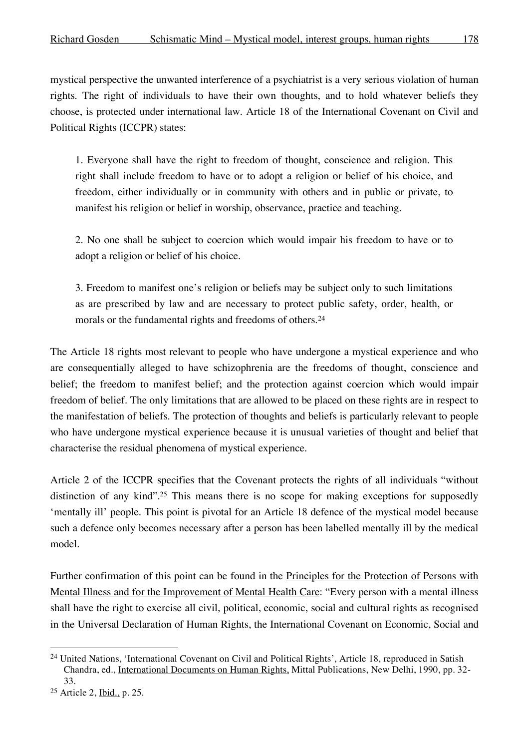mystical perspective the unwanted interference of a psychiatrist is a very serious violation of human rights. The right of individuals to have their own thoughts, and to hold whatever beliefs they choose, is protected under international law. Article 18 of the International Covenant on Civil and Political Rights (ICCPR) states:

1. Everyone shall have the right to freedom of thought, conscience and religion. This right shall include freedom to have or to adopt a religion or belief of his choice, and freedom, either individually or in community with others and in public or private, to manifest his religion or belief in worship, observance, practice and teaching.

2. No one shall be subject to coercion which would impair his freedom to have or to adopt a religion or belief of his choice.

3. Freedom to manifest one's religion or beliefs may be subject only to such limitations as are prescribed by law and are necessary to protect public safety, order, health, or morals or the fundamental rights and freedoms of others.24

The Article 18 rights most relevant to people who have undergone a mystical experience and who are consequentially alleged to have schizophrenia are the freedoms of thought, conscience and belief; the freedom to manifest belief; and the protection against coercion which would impair freedom of belief. The only limitations that are allowed to be placed on these rights are in respect to the manifestation of beliefs. The protection of thoughts and beliefs is particularly relevant to people who have undergone mystical experience because it is unusual varieties of thought and belief that characterise the residual phenomena of mystical experience.

Article 2 of the ICCPR specifies that the Covenant protects the rights of all individuals "without distinction of any kind". <sup>25</sup> This means there is no scope for making exceptions for supposedly 'mentally ill' people. This point is pivotal for an Article 18 defence of the mystical model because such a defence only becomes necessary after a person has been labelled mentally ill by the medical model.

Further confirmation of this point can be found in the Principles for the Protection of Persons with Mental Illness and for the Improvement of Mental Health Care: "Every person with a mental illness shall have the right to exercise all civil, political, economic, social and cultural rights as recognised in the Universal Declaration of Human Rights, the International Covenant on Economic, Social and

 <sup>24</sup> United Nations, 'International Covenant on Civil and Political Rights', Article 18, reproduced in Satish Chandra, ed., International Documents on Human Rights, Mittal Publications, New Delhi, 1990, pp. 32- 33.

<sup>25</sup> Article 2, Ibid., p. 25.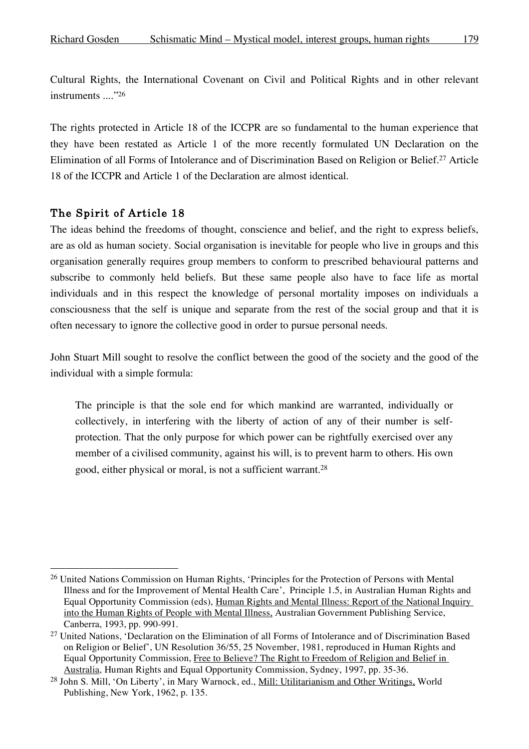Cultural Rights, the International Covenant on Civil and Political Rights and in other relevant instruments ...."<sup>26</sup>

The rights protected in Article 18 of the ICCPR are so fundamental to the human experience that they have been restated as Article 1 of the more recently formulated UN Declaration on the Elimination of all Forms of Intolerance and of Discrimination Based on Religion or Belief. <sup>27</sup> Article 18 of the ICCPR and Article 1 of the Declaration are almost identical.

## The Spirit of Article 18

The ideas behind the freedoms of thought, conscience and belief, and the right to express beliefs, are as old as human society. Social organisation is inevitable for people who live in groups and this organisation generally requires group members to conform to prescribed behavioural patterns and subscribe to commonly held beliefs. But these same people also have to face life as mortal individuals and in this respect the knowledge of personal mortality imposes on individuals a consciousness that the self is unique and separate from the rest of the social group and that it is often necessary to ignore the collective good in order to pursue personal needs.

John Stuart Mill sought to resolve the conflict between the good of the society and the good of the individual with a simple formula:

The principle is that the sole end for which mankind are warranted, individually or collectively, in interfering with the liberty of action of any of their number is selfprotection. That the only purpose for which power can be rightfully exercised over any member of a civilised community, against his will, is to prevent harm to others. His own good, either physical or moral, is not a sufficient warrant. 28

 <sup>26</sup> United Nations Commission on Human Rights, 'Principles for the Protection of Persons with Mental Illness and for the Improvement of Mental Health Care', Principle 1.5, in Australian Human Rights and Equal Opportunity Commission (eds), Human Rights and Mental Illness: Report of the National Inquiry into the Human Rights of People with Mental Illness, Australian Government Publishing Service, Canberra, 1993, pp. 990-991.

<sup>&</sup>lt;sup>27</sup> United Nations, 'Declaration on the Elimination of all Forms of Intolerance and of Discrimination Based on Religion or Belief', UN Resolution 36/55, 25 November, 1981, reproduced in Human Rights and Equal Opportunity Commission, Free to Believe? The Right to Freedom of Religion and Belief in Australia, Human Rights and Equal Opportunity Commission, Sydney, 1997, pp. 35-36.

<sup>28</sup> John S. Mill, 'On Liberty', in Mary Warnock, ed., Mill: Utilitarianism and Other Writings, World Publishing, New York, 1962, p. 135.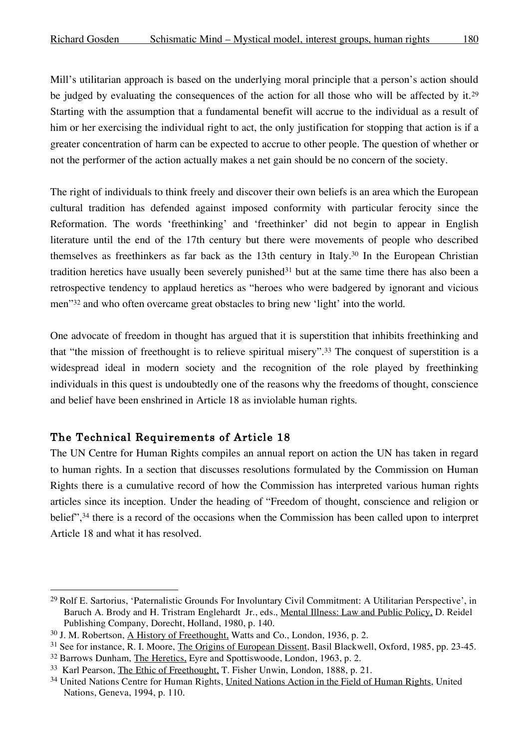Mill's utilitarian approach is based on the underlying moral principle that a person's action should be judged by evaluating the consequences of the action for all those who will be affected by it.<sup>29</sup> Starting with the assumption that a fundamental benefit will accrue to the individual as a result of him or her exercising the individual right to act, the only justification for stopping that action is if a greater concentration of harm can be expected to accrue to other people. The question of whether or not the performer of the action actually makes a net gain should be no concern of the society.

The right of individuals to think freely and discover their own beliefs is an area which the European cultural tradition has defended against imposed conformity with particular ferocity since the Reformation. The words 'freethinking' and 'freethinker' did not begin to appear in English literature until the end of the 17th century but there were movements of people who described themselves as freethinkers as far back as the 13th century in Italy.30 In the European Christian tradition heretics have usually been severely punished<sup>31</sup> but at the same time there has also been a retrospective tendency to applaud heretics as "heroes who were badgered by ignorant and vicious men"32 and who often overcame great obstacles to bring new 'light' into the world.

One advocate of freedom in thought has argued that it is superstition that inhibits freethinking and that "the mission of freethought is to relieve spiritual misery".33 The conquest of superstition is a widespread ideal in modern society and the recognition of the role played by freethinking individuals in this quest is undoubtedly one of the reasons why the freedoms of thought, conscience and belief have been enshrined in Article 18 as inviolable human rights.

## The Technical Requirements of Article 18

The UN Centre for Human Rights compiles an annual report on action the UN has taken in regard to human rights. In a section that discusses resolutions formulated by the Commission on Human Rights there is a cumulative record of how the Commission has interpreted various human rights articles since its inception. Under the heading of "Freedom of thought, conscience and religion or belief",34 there is a record of the occasions when the Commission has been called upon to interpret Article 18 and what it has resolved.

 <sup>29</sup> Rolf E. Sartorius, 'Paternalistic Grounds For Involuntary Civil Commitment: <sup>A</sup> Utilitarian Perspective', in Baruch A. Brody and H. Tristram Englehardt Jr., eds., Mental Illness: Law and Public Policy, D. Reidel Publishing Company, Dorecht, Holland, 1980, p. 140.

<sup>&</sup>lt;sup>30</sup> J. M. Robertson, A History of Freethought, Watts and Co., London, 1936, p. 2.

<sup>&</sup>lt;sup>31</sup> See for instance, R. I. Moore, The Origins of European Dissent, Basil Blackwell, Oxford, 1985, pp. 23-45.

<sup>&</sup>lt;sup>32</sup> Barrows Dunham, The Heretics, Eyre and Spottiswoode, London, 1963, p. 2.

<sup>33</sup> Karl Pearson, The Ethic of Freethought, T. Fisher Unwin, London, 1888, p. 21.

<sup>34</sup> United Nations Centre for Human Rights, United Nations Action in the Field of Human Rights, United Nations, Geneva, 1994, p. 110.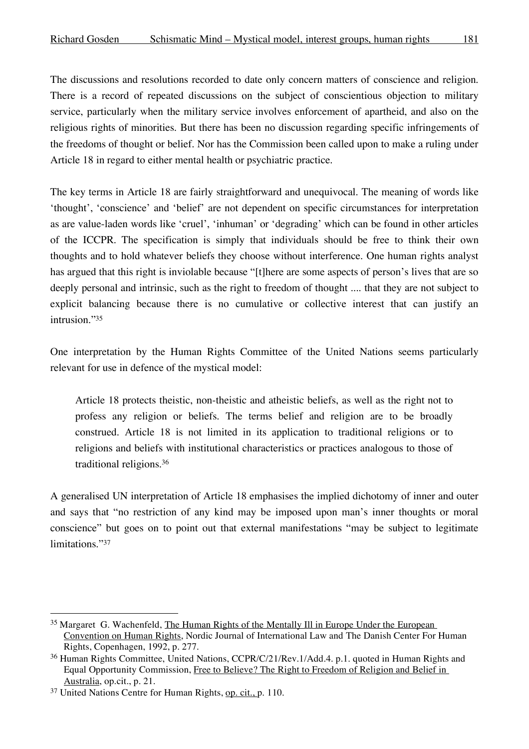The discussions and resolutions recorded to date only concern matters of conscience and religion. There is a record of repeated discussions on the subject of conscientious objection to military service, particularly when the military service involves enforcement of apartheid, and also on the religious rights of minorities. But there has been no discussion regarding specific infringements of the freedoms of thought or belief. Nor has the Commission been called upon to make a ruling under Article 18 in regard to either mental health or psychiatric practice.

The key terms in Article 18 are fairly straightforward and unequivocal. The meaning of words like 'thought', 'conscience' and 'belief' are not dependent on specific circumstances for interpretation as are value-laden words like 'cruel', 'inhuman' or 'degrading' which can be found in other articles of the ICCPR. The specification is simply that individuals should be free to think their own thoughts and to hold whatever beliefs they choose without interference. One human rights analyst has argued that this right is inviolable because "[t]here are some aspects of person's lives that are so deeply personal and intrinsic, such as the right to freedom of thought .... that they are not subject to explicit balancing because there is no cumulative or collective interest that can justify an intrusion."35

One interpretation by the Human Rights Committee of the United Nations seems particularly relevant for use in defence of the mystical model:

Article 18 protects theistic, non-theistic and atheistic beliefs, as well as the right not to profess any religion or beliefs. The terms belief and religion are to be broadly construed. Article 18 is not limited in its application to traditional religions or to religions and beliefs with institutional characteristics or practices analogous to those of traditional religions. 36

A generalised UN interpretation of Article 18 emphasises the implied dichotomy of inner and outer and says that "no restriction of any kind may be imposed upon man's inner thoughts or moral conscience" but goes on to point out that external manifestations "may be subject to legitimate limitations."37

<sup>&</sup>lt;sup>35</sup> Margaret G. Wachenfeld, The Human Rights of the Mentally Ill in Europe Under the European Convention on Human Rights, Nordic Journal of International Law and The Danish Center For Human Rights, Copenhagen, 1992, p. 277.

<sup>36</sup> Human Rights Committee, United Nations, CCPR/C/21/Rev.1/Add.4. p.1. quoted in Human Rights and Equal Opportunity Commission, Free to Believe? The Right to Freedom of Religion and Belief in Australia, op.cit., p. 21.

<sup>&</sup>lt;sup>37</sup> United Nations Centre for Human Rights, op. cit., p. 110.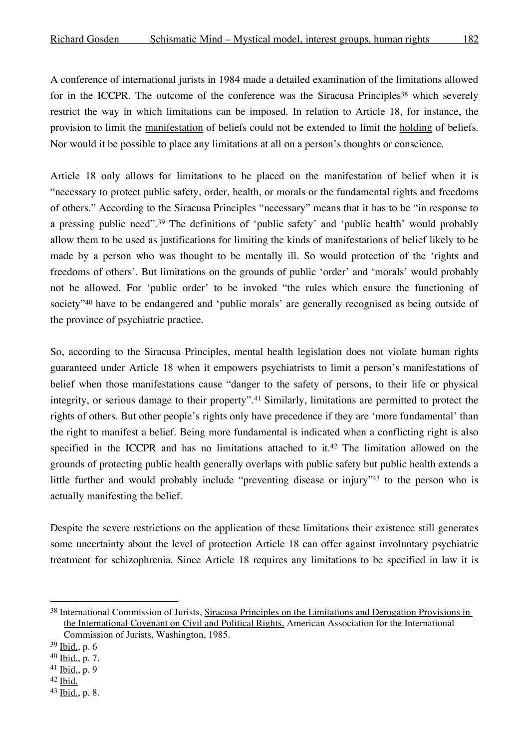A conference of international jurists in 1984 made a detailed examination of the limitations allowed for in the ICCPR. The outcome of the conference was the Siracusa Principles<sup>38</sup> which severely restrict the way in which limitations can be imposed. In relation to Article 18, for instance, the provision to limit the manifestation of beliefs could not be extended to limit the holding of beliefs. Nor would it be possible to place any limitations at all on a person's thoughts or conscience.

Article 18 only allows for limitations to be placed on the manifestation of belief when it is "necessary to protect public safety, order, health, or morals or the fundamental rights and freedoms of others." According to the Siracusa Principles "necessary" means that it has to be "in response to a pressing public need".39 The definitions of 'public safety' and 'public health' would probably allow them to be used as justifications for limiting the kinds of manifestations of belief likely to be made by a person who was thought to be mentally ill. So would protection of the 'rights and freedoms of others'. But limitations on the grounds of public 'order' and 'morals' would probably not be allowed. For 'public order' to be invoked "the rules which ensure the functioning of society"<sup>40</sup> have to be endangered and 'public morals' are generally recognised as being outside of the province of psychiatric practice.

So, according to the Siracusa Principles, mental health legislation does not violate human rights guaranteed under Article 18 when it empowers psychiatrists to limit a person's manifestations of belief when those manifestations cause "danger to the safety of persons, to their life or physical integrity, or serious damage to their property".41 Similarly, limitations are permitted to protect the rights of others. But other people's rights only have precedence if they are 'more fundamental' than the right to manifest a belief. Being more fundamental is indicated when a conflicting right is also specified in the ICCPR and has no limitations attached to it. <sup>42</sup> The limitation allowed on the grounds of protecting public health generally overlaps with public safety but public health extends a little further and would probably include "preventing disease or injury"<sup>43</sup> to the person who is actually manifesting the belief.

Despite the severe restrictions on the application of these limitations their existence still generates some uncertainty about the level of protection Article 18 can offer against involuntary psychiatric treatment for schizophrenia. Since Article 18 requires any limitations to be specified in law it is

- <sup>41</sup> Ibid., p. 9
- <sup>42</sup> Ibid.
- <sup>43</sup> Ibid., p. 8.

<sup>&</sup>lt;sup>38</sup> International Commission of Jurists, Siracusa Principles on the Limitations and Derogation Provisions in the International Covenant on Civil and Political Rights, American Association for the International Commission of Jurists, Washington, 1985.

<sup>39</sup> Ibid., p. 6

<sup>40</sup> Ibid., p. 7.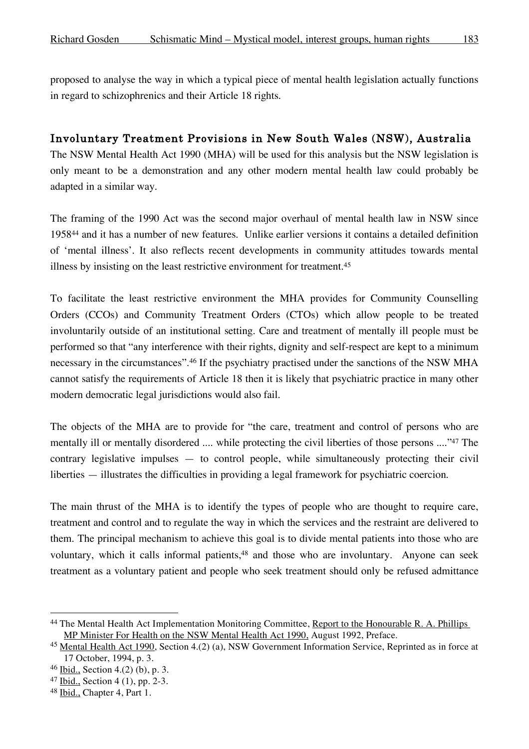## Involuntary Treatment Provisions in New South Wales (NSW), Australia

The NSW Mental Health Act 1990 (MHA) will be used for this analysis but the NSW legislation is only meant to be a demonstration and any other modern mental health law could probably be adapted in a similar way.

The framing of the 1990 Act was the second major overhaul of mental health law in NSW since 195844 and it has a number of new features. Unlike earlier versions it contains a detailed definition of 'mental illness'. It also reflects recent developments in community attitudes towards mental illness by insisting on the least restrictive environment for treatment. 45

To facilitate the least restrictive environment the MHA provides for Community Counselling Orders (CCOs) and Community Treatment Orders (CTOs) which allow people to be treated involuntarily outside of an institutional setting. Care and treatment of mentally ill people must be performed so that "any interference with their rights, dignity and self-respect are kept to a minimum necessary in the circumstances".46 If the psychiatry practised under the sanctions of the NSW MHA cannot satisfy the requirements of Article 18 then it is likely that psychiatric practice in many other modern democratic legal jurisdictions would also fail.

The objects of the MHA are to provide for "the care, treatment and control of persons who are mentally ill or mentally disordered .... while protecting the civil liberties of those persons ...."47 The contrary legislative impulses — to control people, while simultaneously protecting their civil liberties — illustrates the difficulties in providing a legal framework for psychiatric coercion.

The main thrust of the MHA is to identify the types of people who are thought to require care, treatment and control and to regulate the way in which the services and the restraint are delivered to them. The principal mechanism to achieve this goal is to divide mental patients into those who are voluntary, which it calls informal patients, <sup>48</sup> and those who are involuntary. Anyone can seek treatment as a voluntary patient and people who seek treatment should only be refused admittance

 <sup>44</sup> The Mental Health Act Implementation Monitoring Committee, Report to the Honourable R. A. Phillips MP Minister For Health on the NSW Mental Health Act 1990, August 1992, Preface.

<sup>&</sup>lt;sup>45</sup> Mental Health Act 1990, Section 4.(2) (a), NSW Government Information Service, Reprinted as in force at 17 October, 1994, p. 3.

<sup>46</sup> Ibid., Section 4.(2) (b), p. 3.

 $47$  Ibid., Section 4 (1), pp. 2-3.

<sup>48</sup> Ibid., Chapter 4, Part 1.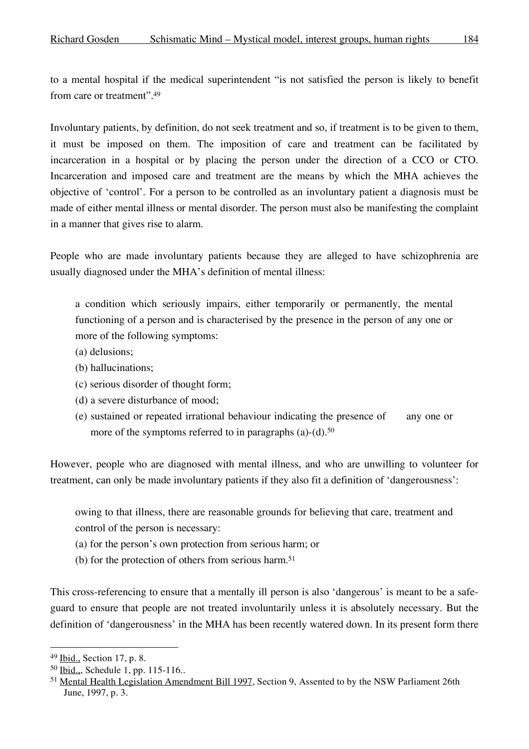to a mental hospital if the medical superintendent "is not satisfied the person is likely to benefit from care or treatment". 49

Involuntary patients, by definition, do not seek treatment and so, if treatment is to be given to them, it must be imposed on them. The imposition of care and treatment can be facilitated by incarceration in a hospital or by placing the person under the direction of a CCO or CTO. Incarceration and imposed care and treatment are the means by which the MHA achieves the objective of 'control'. For a person to be controlled as an involuntary patient a diagnosis must be made of either mental illness or mental disorder. The person must also be manifesting the complaint in a manner that gives rise to alarm.

People who are made involuntary patients because they are alleged to have schizophrenia are usually diagnosed under the MHA's definition of mental illness:

a condition which seriously impairs, either temporarily or permanently, the mental functioning of a person and is characterised by the presence in the person of any one or more of the following symptoms:

- (a) delusions;
- (b) hallucinations;
- (c) serious disorder of thought form;
- (d) a severe disturbance of mood;
- (e) sustained or repeated irrational behaviour indicating the presence of any one or more of the symptoms referred to in paragraphs (a)-(d).<sup>50</sup>

However, people who are diagnosed with mental illness, and who are unwilling to volunteer for treatment, can only be made involuntary patients if they also fit a definition of 'dangerousness':

owing to that illness, there are reasonable grounds for believing that care, treatment and control of the person is necessary:

- (a) for the person's own protection from serious harm; or
- (b) for the protection of others from serious harm. 51

This cross-referencing to ensure that a mentally ill person is also 'dangerous' is meant to be a safeguard to ensure that people are not treated involuntarily unless it is absolutely necessary. But the definition of 'dangerousness' in the MHA has been recently watered down. In its present form there

 <sup>49</sup> Ibid., Section 17, p. 8.

<sup>50</sup> Ibid.,, Schedule 1, pp. 115-116..

<sup>&</sup>lt;sup>51</sup> Mental Health Legislation Amendment Bill 1997, Section 9, Assented to by the NSW Parliament 26th June, 1997, p. 3.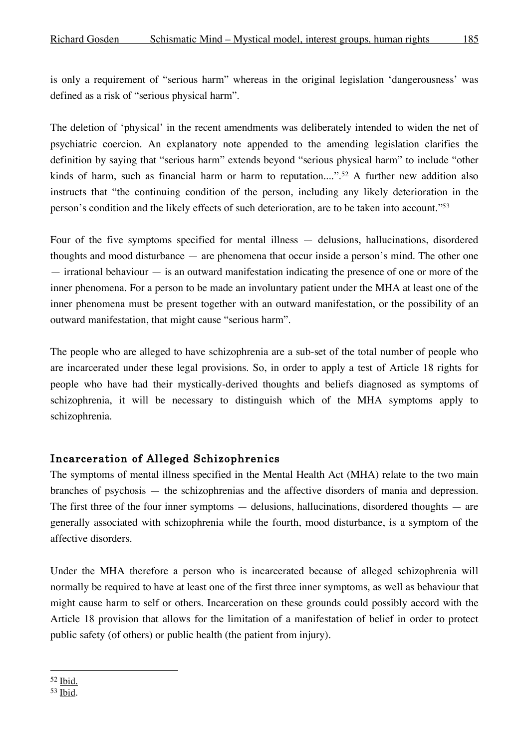is only a requirement of "serious harm" whereas in the original legislation 'dangerousness' was defined as a risk of "serious physical harm".

The deletion of 'physical' in the recent amendments was deliberately intended to widen the net of psychiatric coercion. An explanatory note appended to the amending legislation clarifies the definition by saying that "serious harm" extends beyond "serious physical harm" to include "other kinds of harm, such as financial harm or harm to reputation....". <sup>52</sup> A further new addition also instructs that "the continuing condition of the person, including any likely deterioration in the person's condition and the likely effects of such deterioration, are to be taken into account."53

Four of the five symptoms specified for mental illness — delusions, hallucinations, disordered thoughts and mood disturbance — are phenomena that occur inside a person's mind. The other one — irrational behaviour — is an outward manifestation indicating the presence of one or more of the inner phenomena. For a person to be made an involuntary patient under the MHA at least one of the inner phenomena must be present together with an outward manifestation, or the possibility of an outward manifestation, that might cause "serious harm".

The people who are alleged to have schizophrenia are a sub-set of the total number of people who are incarcerated under these legal provisions. So, in order to apply a test of Article 18 rights for people who have had their mystically-derived thoughts and beliefs diagnosed as symptoms of schizophrenia, it will be necessary to distinguish which of the MHA symptoms apply to schizophrenia.

## Incarceration of Alleged Schizophrenics

The symptoms of mental illness specified in the Mental Health Act (MHA) relate to the two main branches of psychosis — the schizophrenias and the affective disorders of mania and depression. The first three of the four inner symptoms — delusions, hallucinations, disordered thoughts — are generally associated with schizophrenia while the fourth, mood disturbance, is a symptom of the affective disorders.

Under the MHA therefore a person who is incarcerated because of alleged schizophrenia will normally be required to have at least one of the first three inner symptoms, as well as behaviour that might cause harm to self or others. Incarceration on these grounds could possibly accord with the Article 18 provision that allows for the limitation of a manifestation of belief in order to protect public safety (of others) or public health (the patient from injury).

 <sup>52</sup> Ibid.

<sup>53</sup> Ibid.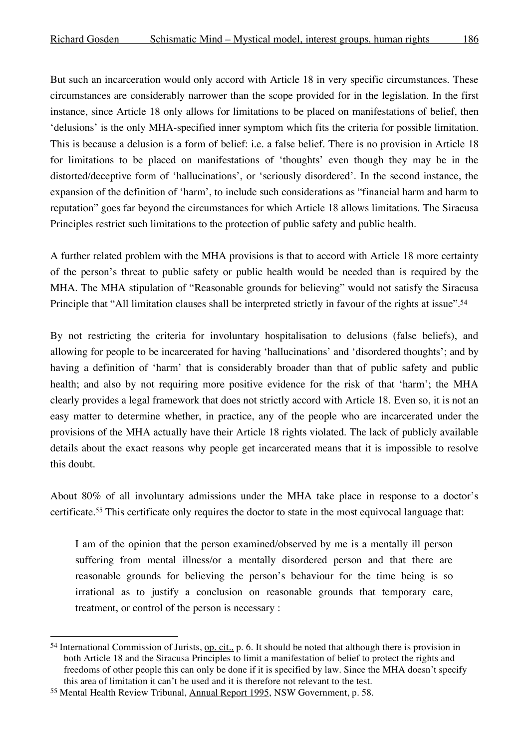But such an incarceration would only accord with Article 18 in very specific circumstances. These circumstances are considerably narrower than the scope provided for in the legislation. In the first instance, since Article 18 only allows for limitations to be placed on manifestations of belief, then 'delusions' is the only MHA-specified inner symptom which fits the criteria for possible limitation. This is because a delusion is a form of belief: i.e. a false belief. There is no provision in Article 18 for limitations to be placed on manifestations of 'thoughts' even though they may be in the distorted/deceptive form of 'hallucinations', or 'seriously disordered'. In the second instance, the expansion of the definition of 'harm', to include such considerations as "financial harm and harm to reputation" goes far beyond the circumstances for which Article 18 allows limitations. The Siracusa Principles restrict such limitations to the protection of public safety and public health.

A further related problem with the MHA provisions is that to accord with Article 18 more certainty of the person's threat to public safety or public health would be needed than is required by the MHA. The MHA stipulation of "Reasonable grounds for believing" would not satisfy the Siracusa Principle that "All limitation clauses shall be interpreted strictly in favour of the rights at issue".<sup>54</sup>

By not restricting the criteria for involuntary hospitalisation to delusions (false beliefs), and allowing for people to be incarcerated for having 'hallucinations' and 'disordered thoughts'; and by having a definition of 'harm' that is considerably broader than that of public safety and public health; and also by not requiring more positive evidence for the risk of that 'harm'; the MHA clearly provides a legal framework that does not strictly accord with Article 18. Even so, it is not an easy matter to determine whether, in practice, any of the people who are incarcerated under the provisions of the MHA actually have their Article 18 rights violated. The lack of publicly available details about the exact reasons why people get incarcerated means that it is impossible to resolve this doubt.

About 80% of all involuntary admissions under the MHA take place in response to a doctor's certificate. <sup>55</sup> This certificate only requires the doctor to state in the most equivocal language that:

I am of the opinion that the person examined/observed by me is a mentally ill person suffering from mental illness/or a mentally disordered person and that there are reasonable grounds for believing the person's behaviour for the time being is so irrational as to justify a conclusion on reasonable grounds that temporary care, treatment, or control of the person is necessary :

<sup>&</sup>lt;sup>54</sup> International Commission of Jurists, <u>op. cit.</u>, p. 6. It should be noted that although there is provision in both Article 18 and the Siracusa Principles to limit a manifestation of belief to protect the rights and freedoms of other people this can only be done if it is specified by law. Since the MHA doesn't specify this area of limitation it can't be used and it is therefore not relevant to the test.

<sup>55</sup> Mental Health Review Tribunal, Annual Report 1995, NSW Government, p. 58.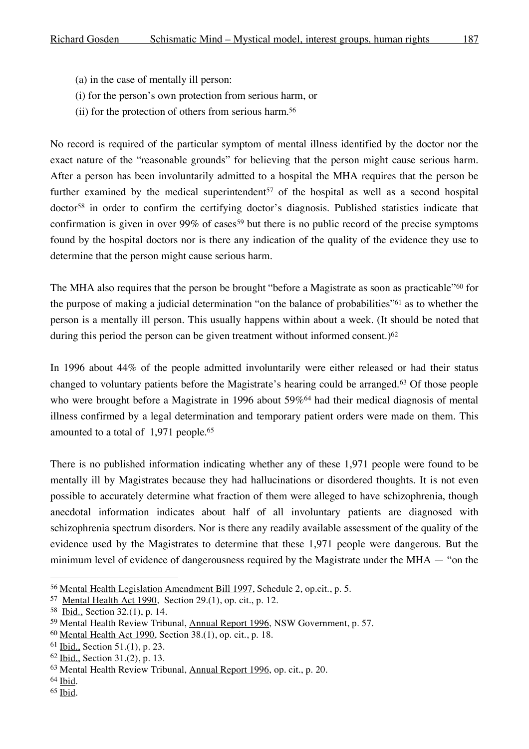- (a) in the case of mentally ill person:
- (i) for the person's own protection from serious harm, or
- (ii) for the protection of others from serious harm. 56

No record is required of the particular symptom of mental illness identified by the doctor nor the exact nature of the "reasonable grounds" for believing that the person might cause serious harm. After a person has been involuntarily admitted to a hospital the MHA requires that the person be further examined by the medical superintendent<sup>57</sup> of the hospital as well as a second hospital doctor58 in order to confirm the certifying doctor's diagnosis. Published statistics indicate that confirmation is given in over  $99\%$  of cases<sup>59</sup> but there is no public record of the precise symptoms found by the hospital doctors nor is there any indication of the quality of the evidence they use to determine that the person might cause serious harm.

The MHA also requires that the person be brought "before a Magistrate as soon as practicable"<sup>60</sup> for the purpose of making a judicial determination "on the balance of probabilities"<sup>61</sup> as to whether the person is a mentally ill person. This usually happens within about a week. (It should be noted that during this period the person can be given treatment without informed consent.)<sup>62</sup>

In 1996 about 44% of the people admitted involuntarily were either released or had their status changed to voluntary patients before the Magistrate's hearing could be arranged.63 Of those people who were brought before a Magistrate in 1996 about 59%<sup>64</sup> had their medical diagnosis of mental illness confirmed by a legal determination and temporary patient orders were made on them. This amounted to a total of 1,971 people. 65

There is no published information indicating whether any of these 1,971 people were found to be mentally ill by Magistrates because they had hallucinations or disordered thoughts. It is not even possible to accurately determine what fraction of them were alleged to have schizophrenia, though anecdotal information indicates about half of all involuntary patients are diagnosed with schizophrenia spectrum disorders. Nor is there any readily available assessment of the quality of the evidence used by the Magistrates to determine that these 1,971 people were dangerous. But the minimum level of evidence of dangerousness required by the Magistrate under the MHA — "on the

 <sup>56</sup> Mental Health Legislation Amendment Bill 1997, Schedule 2, op.cit., p. 5.

<sup>57</sup> Mental Health Act 1990, Section 29.(1), op. cit., p. 12.

<sup>58</sup> Ibid., Section 32.(1), p. 14.

<sup>59</sup> Mental Health Review Tribunal, Annual Report 1996, NSW Government, p. 57.

<sup>60</sup> Mental Health Act 1990, Section 38.(1), op. cit., p. 18.

<sup>61</sup> Ibid., Section 51.(1), p. 23.

<sup>62</sup> Ibid., Section 31.(2), p. 13.

<sup>63</sup> Mental Health Review Tribunal, Annual Report 1996, op. cit., p. 20.

<sup>64</sup> Ibid.

<sup>65</sup> Ibid.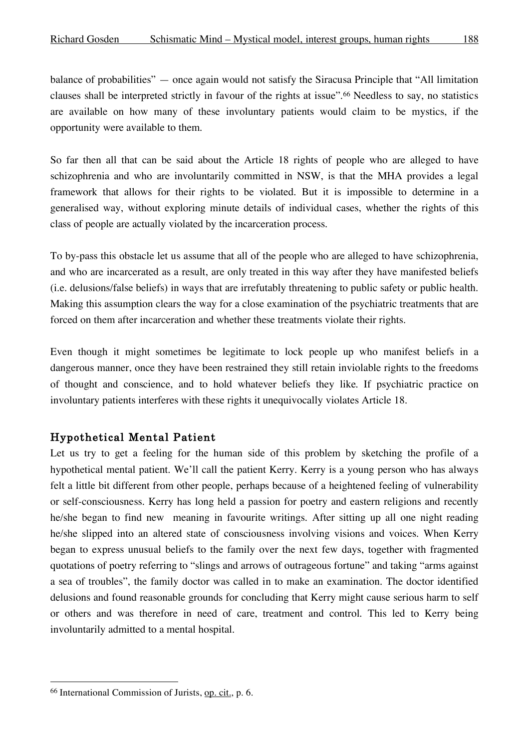balance of probabilities" — once again would not satisfy the Siracusa Principle that "All limitation clauses shall be interpreted strictly in favour of the rights at issue".66 Needless to say, no statistics are available on how many of these involuntary patients would claim to be mystics, if the opportunity were available to them.

So far then all that can be said about the Article 18 rights of people who are alleged to have schizophrenia and who are involuntarily committed in NSW, is that the MHA provides a legal framework that allows for their rights to be violated. But it is impossible to determine in a generalised way, without exploring minute details of individual cases, whether the rights of this class of people are actually violated by the incarceration process.

To by-pass this obstacle let us assume that all of the people who are alleged to have schizophrenia, and who are incarcerated as a result, are only treated in this way after they have manifested beliefs (i.e. delusions/false beliefs) in ways that are irrefutably threatening to public safety or public health. Making this assumption clears the way for a close examination of the psychiatric treatments that are forced on them after incarceration and whether these treatments violate their rights.

Even though it might sometimes be legitimate to lock people up who manifest beliefs in a dangerous manner, once they have been restrained they still retain inviolable rights to the freedoms of thought and conscience, and to hold whatever beliefs they like. If psychiatric practice on involuntary patients interferes with these rights it unequivocally violates Article 18.

## Hypothetical Mental Patient

Let us try to get a feeling for the human side of this problem by sketching the profile of a hypothetical mental patient. We'll call the patient Kerry. Kerry is a young person who has always felt a little bit different from other people, perhaps because of a heightened feeling of vulnerability or self-consciousness. Kerry has long held a passion for poetry and eastern religions and recently he/she began to find new meaning in favourite writings. After sitting up all one night reading he/she slipped into an altered state of consciousness involving visions and voices. When Kerry began to express unusual beliefs to the family over the next few days, together with fragmented quotations of poetry referring to "slings and arrows of outrageous fortune" and taking "arms against a sea of troubles", the family doctor was called in to make an examination. The doctor identified delusions and found reasonable grounds for concluding that Kerry might cause serious harm to self or others and was therefore in need of care, treatment and control. This led to Kerry being involuntarily admitted to a mental hospital.

 <sup>66</sup> International Commission of Jurists, op. cit., p. 6.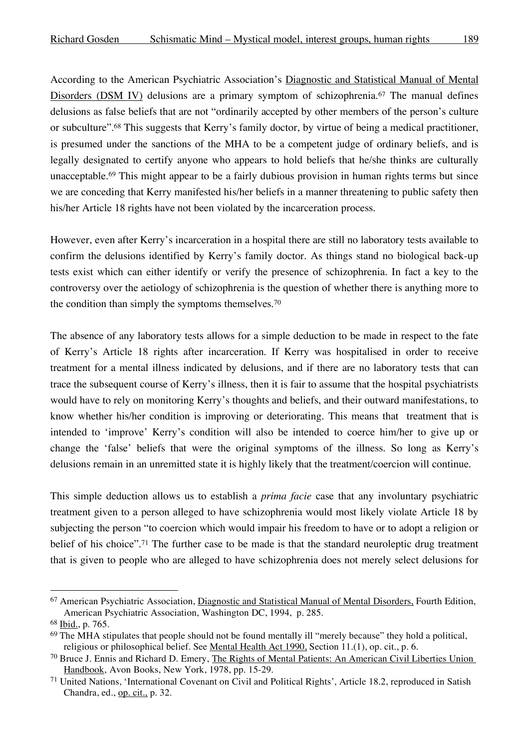According to the American Psychiatric Association's Diagnostic and Statistical Manual of Mental Disorders (DSM IV) delusions are a primary symptom of schizophrenia.<sup>67</sup> The manual defines delusions as false beliefs that are not "ordinarily accepted by other members of the person's culture or subculture". <sup>68</sup> This suggests that Kerry's family doctor, by virtue of being a medical practitioner, is presumed under the sanctions of the MHA to be a competent judge of ordinary beliefs, and is legally designated to certify anyone who appears to hold beliefs that he/she thinks are culturally unacceptable. <sup>69</sup> This might appear to be a fairly dubious provision in human rights terms but since we are conceding that Kerry manifested his/her beliefs in a manner threatening to public safety then his/her Article 18 rights have not been violated by the incarceration process.

However, even after Kerry's incarceration in a hospital there are still no laboratory tests available to confirm the delusions identified by Kerry's family doctor. As things stand no biological back-up tests exist which can either identify or verify the presence of schizophrenia. In fact a key to the controversy over the aetiology of schizophrenia is the question of whether there is anything more to the condition than simply the symptoms themselves.<sup>70</sup>

The absence of any laboratory tests allows for a simple deduction to be made in respect to the fate of Kerry's Article 18 rights after incarceration. If Kerry was hospitalised in order to receive treatment for a mental illness indicated by delusions, and if there are no laboratory tests that can trace the subsequent course of Kerry's illness, then it is fair to assume that the hospital psychiatrists would have to rely on monitoring Kerry's thoughts and beliefs, and their outward manifestations, to know whether his/her condition is improving or deteriorating. This means that treatment that is intended to 'improve' Kerry's condition will also be intended to coerce him/her to give up or change the 'false' beliefs that were the original symptoms of the illness. So long as Kerry's delusions remain in an unremitted state it is highly likely that the treatment/coercion will continue.

This simple deduction allows us to establish a *prima facie* case that any involuntary psychiatric treatment given to a person alleged to have schizophrenia would most likely violate Article 18 by subjecting the person "to coercion which would impair his freedom to have or to adopt a religion or belief of his choice".<sup>71</sup> The further case to be made is that the standard neuroleptic drug treatment that is given to people who are alleged to have schizophrenia does not merely select delusions for

 <sup>67</sup> American Psychiatric Association, Diagnostic and Statistical Manual of Mental Disorders, Fourth Edition, American Psychiatric Association, Washington DC, 1994, p. 285.

<sup>68</sup> Ibid., p. 765.

<sup>69</sup> The MHA stipulates that people should not be found mentally ill "merely because" they hold a political, religious or philosophical belief. See Mental Health Act 1990, Section 11.(1), op. cit., p. 6.

<sup>70</sup> Bruce J. Ennis and Richard D. Emery, The Rights of Mental Patients: An American Civil Liberties Union Handbook, Avon Books, New York, 1978, pp. 15-29.

<sup>71</sup> United Nations, 'International Covenant on Civil and Political Rights', Article 18.2, reproduced in Satish Chandra, ed., op. cit., p. 32.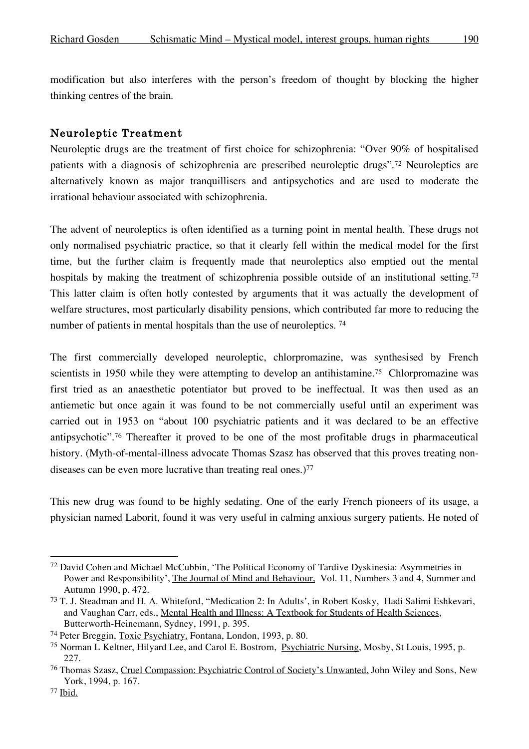modification but also interferes with the person's freedom of thought by blocking the higher thinking centres of the brain.

## Neuroleptic Treatment

Neuroleptic drugs are the treatment of first choice for schizophrenia: "Over 90% of hospitalised patients with a diagnosis of schizophrenia are prescribed neuroleptic drugs". <sup>72</sup> Neuroleptics are alternatively known as major tranquillisers and antipsychotics and are used to moderate the irrational behaviour associated with schizophrenia.

The advent of neuroleptics is often identified as a turning point in mental health. These drugs not only normalised psychiatric practice, so that it clearly fell within the medical model for the first time, but the further claim is frequently made that neuroleptics also emptied out the mental hospitals by making the treatment of schizophrenia possible outside of an institutional setting.<sup>73</sup> This latter claim is often hotly contested by arguments that it was actually the development of welfare structures, most particularly disability pensions, which contributed far more to reducing the number of patients in mental hospitals than the use of neuroleptics. <sup>74</sup>

The first commercially developed neuroleptic, chlorpromazine, was synthesised by French scientists in 1950 while they were attempting to develop an antihistamine.<sup>75</sup> Chlorpromazine was first tried as an anaesthetic potentiator but proved to be ineffectual. It was then used as an antiemetic but once again it was found to be not commercially useful until an experiment was carried out in 1953 on "about 100 psychiatric patients and it was declared to be an effective antipsychotic".76 Thereafter it proved to be one of the most profitable drugs in pharmaceutical history. (Myth-of-mental-illness advocate Thomas Szasz has observed that this proves treating nondiseases can be even more lucrative than treating real ones.)<sup>77</sup>

This new drug was found to be highly sedating. One of the early French pioneers of its usage, a physician named Laborit, found it was very useful in calming anxious surgery patients. He noted of

 <sup>72</sup> David Cohen and Michael McCubbin, 'The Political Economy of Tardive Dyskinesia: Asymmetries in Power and Responsibility', The Journal of Mind and Behaviour, Vol. 11, Numbers 3 and 4, Summer and Autumn 1990, p. 472.

<sup>73</sup> T. J. Steadman and H. A. Whiteford, "Medication 2: In Adults', in Robert Kosky, Hadi Salimi Eshkevari, and Vaughan Carr, eds., Mental Health and Illness: A Textbook for Students of Health Sciences, Butterworth-Heinemann, Sydney, 1991, p. 395.

<sup>74</sup> Peter Breggin, Toxic Psychiatry, Fontana, London, 1993, p. 80.

<sup>75</sup> Norman L Keltner, Hilyard Lee, and Carol E. Bostrom, Psychiatric Nursing, Mosby, St Louis, 1995, p. 227.

<sup>76</sup> Thomas Szasz, Cruel Compassion: Psychiatric Control of Society's Unwanted, John Wiley and Sons, New York, 1994, p. 167.

<sup>77</sup> Ibid.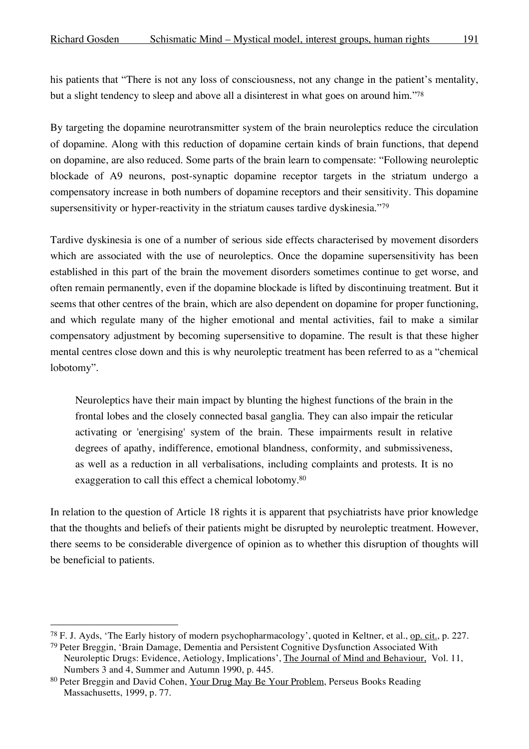his patients that "There is not any loss of consciousness, not any change in the patient's mentality, but a slight tendency to sleep and above all a disinterest in what goes on around him."78

By targeting the dopamine neurotransmitter system of the brain neuroleptics reduce the circulation of dopamine. Along with this reduction of dopamine certain kinds of brain functions, that depend on dopamine, are also reduced. Some parts of the brain learn to compensate: "Following neuroleptic blockade of A9 neurons, post-synaptic dopamine receptor targets in the striatum undergo a compensatory increase in both numbers of dopamine receptors and their sensitivity. This dopamine supersensitivity or hyper-reactivity in the striatum causes tardive dyskinesia."<sup>79</sup>

Tardive dyskinesia is one of a number of serious side effects characterised by movement disorders which are associated with the use of neuroleptics. Once the dopamine supersensitivity has been established in this part of the brain the movement disorders sometimes continue to get worse, and often remain permanently, even if the dopamine blockade is lifted by discontinuing treatment. But it seems that other centres of the brain, which are also dependent on dopamine for proper functioning, and which regulate many of the higher emotional and mental activities, fail to make a similar compensatory adjustment by becoming supersensitive to dopamine. The result is that these higher mental centres close down and this is why neuroleptic treatment has been referred to as a "chemical lobotomy".

Neuroleptics have their main impact by blunting the highest functions of the brain in the frontal lobes and the closely connected basal ganglia. They can also impair the reticular activating or 'energising' system of the brain. These impairments result in relative degrees of apathy, indifference, emotional blandness, conformity, and submissiveness, as well as a reduction in all verbalisations, including complaints and protests. It is no exaggeration to call this effect a chemical lobotomy.80

In relation to the question of Article 18 rights it is apparent that psychiatrists have prior knowledge that the thoughts and beliefs of their patients might be disrupted by neuroleptic treatment. However, there seems to be considerable divergence of opinion as to whether this disruption of thoughts will be beneficial to patients.

 <sup>78</sup> F. J. Ayds, 'The Early history of modern psychopharmacology', quoted in Keltner, et al., op. cit., p. 227. <sup>79</sup> Peter Breggin, 'Brain Damage, Dementia and Persistent Cognitive Dysfunction Associated With

Neuroleptic Drugs: Evidence, Aetiology, Implications', The Journal of Mind and Behaviour, Vol. 11, Numbers 3 and 4, Summer and Autumn 1990, p. 445.

<sup>80</sup> Peter Breggin and David Cohen, Your Drug May Be Your Problem, Perseus Books Reading Massachusetts, 1999, p. 77.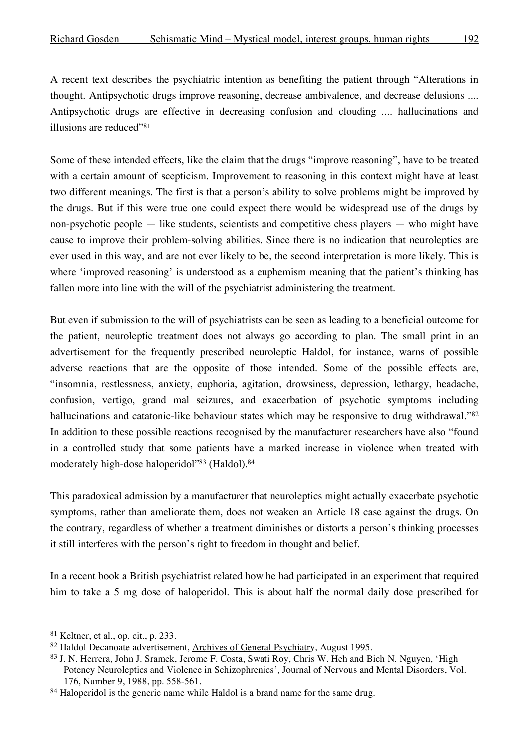A recent text describes the psychiatric intention as benefiting the patient through "Alterations in thought. Antipsychotic drugs improve reasoning, decrease ambivalence, and decrease delusions .... Antipsychotic drugs are effective in decreasing confusion and clouding .... hallucinations and illusions are reduced"81

Some of these intended effects, like the claim that the drugs "improve reasoning", have to be treated with a certain amount of scepticism. Improvement to reasoning in this context might have at least two different meanings. The first is that a person's ability to solve problems might be improved by the drugs. But if this were true one could expect there would be widespread use of the drugs by non-psychotic people — like students, scientists and competitive chess players — who might have cause to improve their problem-solving abilities. Since there is no indication that neuroleptics are ever used in this way, and are not ever likely to be, the second interpretation is more likely. This is where 'improved reasoning' is understood as a euphemism meaning that the patient's thinking has fallen more into line with the will of the psychiatrist administering the treatment.

But even if submission to the will of psychiatrists can be seen as leading to a beneficial outcome for the patient, neuroleptic treatment does not always go according to plan. The small print in an advertisement for the frequently prescribed neuroleptic Haldol, for instance, warns of possible adverse reactions that are the opposite of those intended. Some of the possible effects are, "insomnia, restlessness, anxiety, euphoria, agitation, drowsiness, depression, lethargy, headache, confusion, vertigo, grand mal seizures, and exacerbation of psychotic symptoms including hallucinations and catatonic-like behaviour states which may be responsive to drug withdrawal."<sup>82</sup> In addition to these possible reactions recognised by the manufacturer researchers have also "found in a controlled study that some patients have a marked increase in violence when treated with moderately high-dose haloperidol"83 (Haldol). 84

This paradoxical admission by a manufacturer that neuroleptics might actually exacerbate psychotic symptoms, rather than ameliorate them, does not weaken an Article 18 case against the drugs. On the contrary, regardless of whether a treatment diminishes or distorts a person's thinking processes it still interferes with the person's right to freedom in thought and belief.

In a recent book a British psychiatrist related how he had participated in an experiment that required him to take a 5 mg dose of haloperidol. This is about half the normal daily dose prescribed for

 $81$  Keltner, et al., op. cit., p. 233.

<sup>82</sup> Haldol Decanoate advertisement, Archives of General Psychiatry, August 1995.

<sup>83</sup> J. N. Herrera, John J. Sramek, Jerome F. Costa, Swati Roy, Chris W. Heh and Bich N. Nguyen, 'High Potency Neuroleptics and Violence in Schizophrenics', Journal of Nervous and Mental Disorders, Vol. 176, Number 9, 1988, pp. 558-561.

<sup>&</sup>lt;sup>84</sup> Haloperidol is the generic name while Haldol is a brand name for the same drug.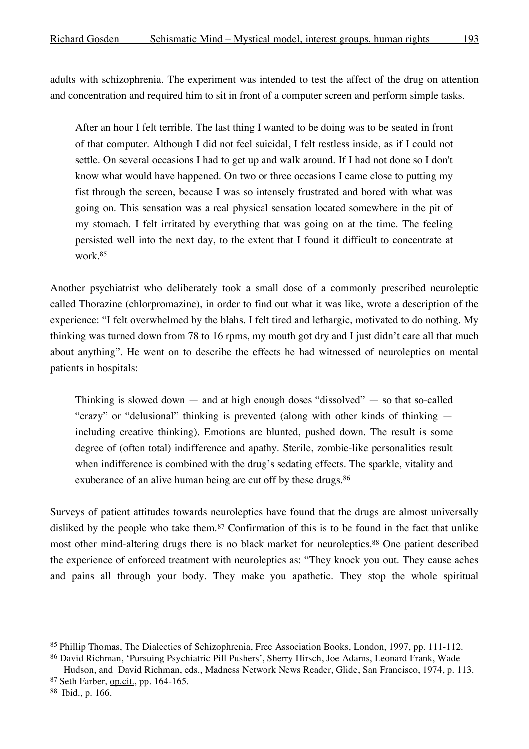adults with schizophrenia. The experiment was intended to test the affect of the drug on attention and concentration and required him to sit in front of a computer screen and perform simple tasks.

After an hour I felt terrible. The last thing I wanted to be doing was to be seated in front of that computer. Although I did not feel suicidal, I felt restless inside, as if I could not settle. On several occasions I had to get up and walk around. If I had not done so I don't know what would have happened. On two or three occasions I came close to putting my fist through the screen, because I was so intensely frustrated and bored with what was going on. This sensation was a real physical sensation located somewhere in the pit of my stomach. I felt irritated by everything that was going on at the time. The feeling persisted well into the next day, to the extent that I found it difficult to concentrate at work.85

Another psychiatrist who deliberately took a small dose of a commonly prescribed neuroleptic called Thorazine (chlorpromazine), in order to find out what it was like, wrote a description of the experience: "I felt overwhelmed by the blahs. I felt tired and lethargic, motivated to do nothing. My thinking was turned down from 78 to 16 rpms, my mouth got dry and I just didn't care all that much about anything". He went on to describe the effects he had witnessed of neuroleptics on mental patients in hospitals:

Thinking is slowed down  $-$  and at high enough doses "dissolved"  $-$  so that so-called "crazy" or "delusional" thinking is prevented (along with other kinds of thinking including creative thinking). Emotions are blunted, pushed down. The result is some degree of (often total) indifference and apathy. Sterile, zombie-like personalities result when indifference is combined with the drug's sedating effects. The sparkle, vitality and exuberance of an alive human being are cut off by these drugs.<sup>86</sup>

Surveys of patient attitudes towards neuroleptics have found that the drugs are almost universally disliked by the people who take them.87 Confirmation of this is to be found in the fact that unlike most other mind-altering drugs there is no black market for neuroleptics. <sup>88</sup> One patient described the experience of enforced treatment with neuroleptics as: "They knock you out. They cause aches and pains all through your body. They make you apathetic. They stop the whole spiritual

<sup>85</sup> Phillip Thomas, The Dialectics of Schizophrenia, Free Association Books, London, 1997, pp. 111-112. <sup>86</sup> David Richman, 'Pursuing Psychiatric Pill Pushers', Sherry Hirsch, Joe Adams, Leonard Frank, Wade

Hudson, and David Richman, eds., Madness Network News Reader, Glide, San Francisco, 1974, p. 113.

<sup>87</sup> Seth Farber, op.cit., pp. 164-165.

<sup>88</sup> Ibid., p. 166.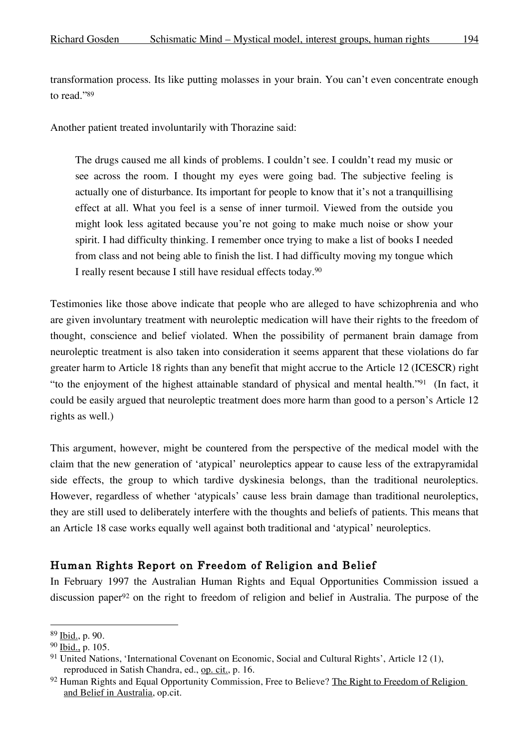transformation process. Its like putting molasses in your brain. You can't even concentrate enough to read."89

Another patient treated involuntarily with Thorazine said:

The drugs caused me all kinds of problems. I couldn't see. I couldn't read my music or see across the room. I thought my eyes were going bad. The subjective feeling is actually one of disturbance. Its important for people to know that it's not a tranquillising effect at all. What you feel is a sense of inner turmoil. Viewed from the outside you might look less agitated because you're not going to make much noise or show your spirit. I had difficulty thinking. I remember once trying to make a list of books I needed from class and not being able to finish the list. I had difficulty moving my tongue which I really resent because I still have residual effects today.90

Testimonies like those above indicate that people who are alleged to have schizophrenia and who are given involuntary treatment with neuroleptic medication will have their rights to the freedom of thought, conscience and belief violated. When the possibility of permanent brain damage from neuroleptic treatment is also taken into consideration it seems apparent that these violations do far greater harm to Article 18 rights than any benefit that might accrue to the Article 12 (ICESCR) right "to the enjoyment of the highest attainable standard of physical and mental health."91 (In fact, it could be easily argued that neuroleptic treatment does more harm than good to a person's Article 12 rights as well.)

This argument, however, might be countered from the perspective of the medical model with the claim that the new generation of 'atypical' neuroleptics appear to cause less of the extrapyramidal side effects, the group to which tardive dyskinesia belongs, than the traditional neuroleptics. However, regardless of whether 'atypicals' cause less brain damage than traditional neuroleptics, they are still used to deliberately interfere with the thoughts and beliefs of patients. This means that an Article 18 case works equally well against both traditional and 'atypical' neuroleptics.

## Human Rights Report on Freedom of Religion and Belief

In February 1997 the Australian Human Rights and Equal Opportunities Commission issued a discussion paper<sup>92</sup> on the right to freedom of religion and belief in Australia. The purpose of the

 <sup>89</sup> Ibid., p. 90.

<sup>90</sup> Ibid., p. 105.

<sup>&</sup>lt;sup>91</sup> United Nations, 'International Covenant on Economic, Social and Cultural Rights', Article 12 (1), reproduced in Satish Chandra, ed., op. cit., p. 16.

<sup>&</sup>lt;sup>92</sup> Human Rights and Equal Opportunity Commission, Free to Believe? The Right to Freedom of Religion and Belief in Australia, op.cit.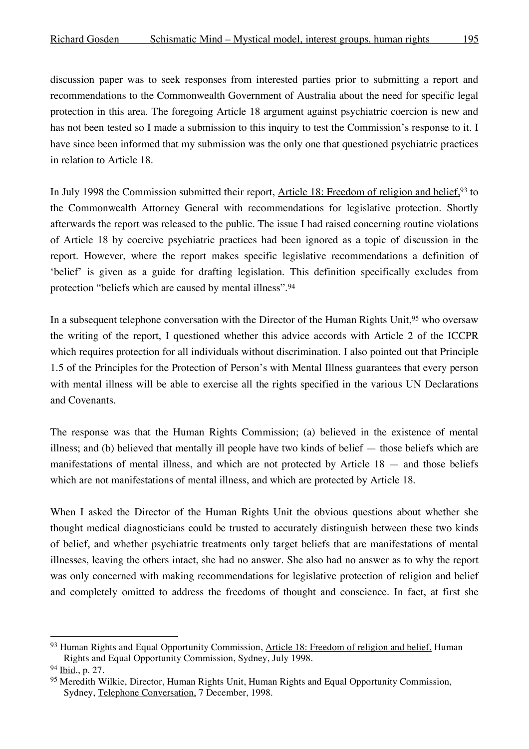discussion paper was to seek responses from interested parties prior to submitting a report and recommendations to the Commonwealth Government of Australia about the need for specific legal protection in this area. The foregoing Article 18 argument against psychiatric coercion is new and has not been tested so I made a submission to this inquiry to test the Commission's response to it. I have since been informed that my submission was the only one that questioned psychiatric practices in relation to Article 18.

In July 1998 the Commission submitted their report, Article 18: Freedom of religion and belief, <sup>93</sup> to the Commonwealth Attorney General with recommendations for legislative protection. Shortly afterwards the report was released to the public. The issue I had raised concerning routine violations of Article 18 by coercive psychiatric practices had been ignored as a topic of discussion in the report. However, where the report makes specific legislative recommendations a definition of 'belief' is given as a guide for drafting legislation. This definition specifically excludes from protection "beliefs which are caused by mental illness".94

In a subsequent telephone conversation with the Director of the Human Rights Unit,<sup>95</sup> who oversaw the writing of the report, I questioned whether this advice accords with Article 2 of the ICCPR which requires protection for all individuals without discrimination. I also pointed out that Principle 1.5 of the Principles for the Protection of Person's with Mental Illness guarantees that every person with mental illness will be able to exercise all the rights specified in the various UN Declarations and Covenants.

The response was that the Human Rights Commission; (a) believed in the existence of mental illness; and (b) believed that mentally ill people have two kinds of belief — those beliefs which are manifestations of mental illness, and which are not protected by Article 18 — and those beliefs which are not manifestations of mental illness, and which are protected by Article 18.

When I asked the Director of the Human Rights Unit the obvious questions about whether she thought medical diagnosticians could be trusted to accurately distinguish between these two kinds of belief, and whether psychiatric treatments only target beliefs that are manifestations of mental illnesses, leaving the others intact, she had no answer. She also had no answer as to why the report was only concerned with making recommendations for legislative protection of religion and belief and completely omitted to address the freedoms of thought and conscience. In fact, at first she

<sup>93</sup> Human Rights and Equal Opportunity Commission, Article 18: Freedom of religion and belief, Human Rights and Equal Opportunity Commission, Sydney, July 1998.

<sup>94</sup> Ibid., p. 27.

<sup>95</sup> Meredith Wilkie, Director, Human Rights Unit, Human Rights and Equal Opportunity Commission, Sydney, Telephone Conversation, 7 December, 1998.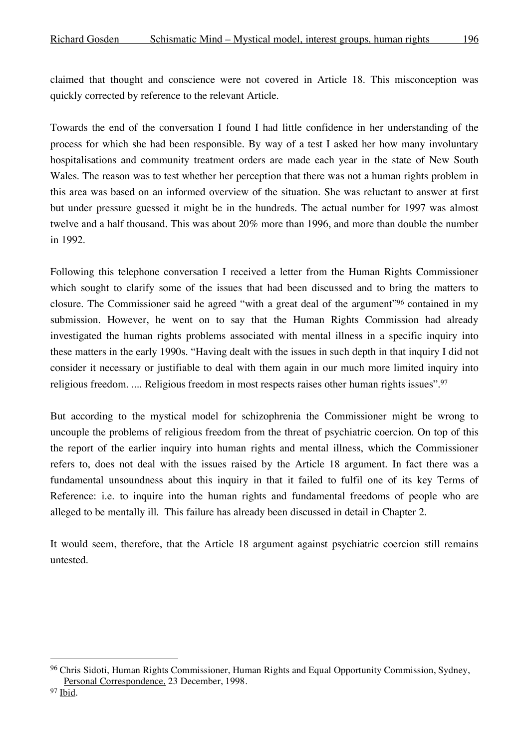claimed that thought and conscience were not covered in Article 18. This misconception was quickly corrected by reference to the relevant Article.

Towards the end of the conversation I found I had little confidence in her understanding of the process for which she had been responsible. By way of a test I asked her how many involuntary hospitalisations and community treatment orders are made each year in the state of New South Wales. The reason was to test whether her perception that there was not a human rights problem in this area was based on an informed overview of the situation. She was reluctant to answer at first but under pressure guessed it might be in the hundreds. The actual number for 1997 was almost twelve and a half thousand. This was about 20% more than 1996, and more than double the number in 1992.

Following this telephone conversation I received a letter from the Human Rights Commissioner which sought to clarify some of the issues that had been discussed and to bring the matters to closure. The Commissioner said he agreed "with a great deal of the argument"96 contained in my submission. However, he went on to say that the Human Rights Commission had already investigated the human rights problems associated with mental illness in a specific inquiry into these matters in the early 1990s. "Having dealt with the issues in such depth in that inquiry I did not consider it necessary or justifiable to deal with them again in our much more limited inquiry into religious freedom. .... Religious freedom in most respects raises other human rights issues".97

But according to the mystical model for schizophrenia the Commissioner might be wrong to uncouple the problems of religious freedom from the threat of psychiatric coercion. On top of this the report of the earlier inquiry into human rights and mental illness, which the Commissioner refers to, does not deal with the issues raised by the Article 18 argument. In fact there was a fundamental unsoundness about this inquiry in that it failed to fulfil one of its key Terms of Reference: i.e. to inquire into the human rights and fundamental freedoms of people who are alleged to be mentally ill. This failure has already been discussed in detail in Chapter 2.

It would seem, therefore, that the Article 18 argument against psychiatric coercion still remains untested.

 <sup>96</sup> Chris Sidoti, Human Rights Commissioner, Human Rights and Equal Opportunity Commission, Sydney, Personal Correspondence, 23 December, 1998.